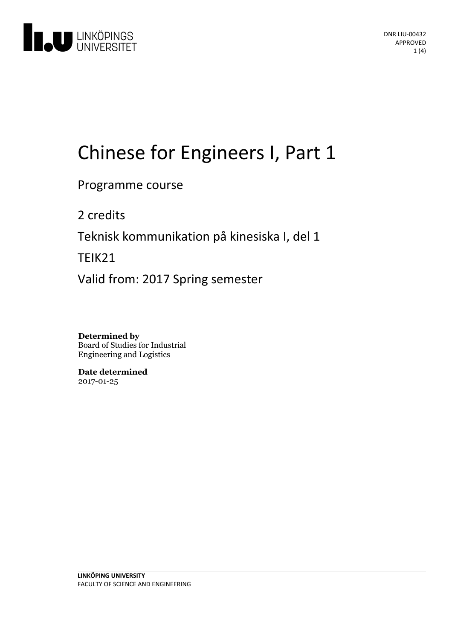

# Chinese for Engineers I, Part 1

Programme course

2 credits

Teknisk kommunikation på kinesiska I, del 1

TEIK21

Valid from: 2017 Spring semester

**Determined by** Board of Studies for Industrial Engineering and Logistics

**Date determined** 2017-01-25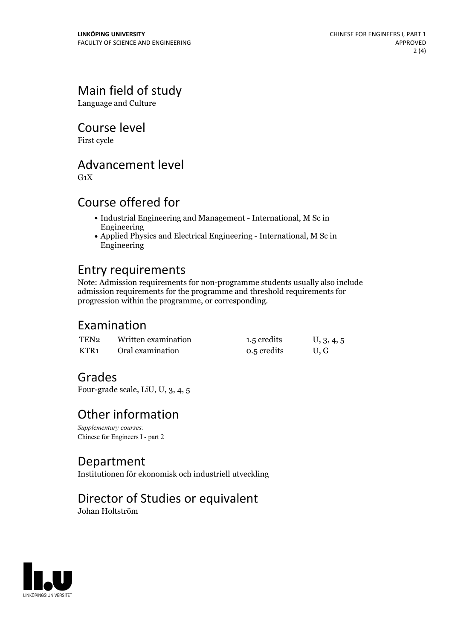# Main field of study

Language and Culture

Course level

First cycle

#### Advancement level

 $G_1X$ 

#### Course offered for

- Industrial Engineering and Management International, M Sc in Engineering
- Applied Physics and Electrical Engineering International, M Sc in Engineering

#### Entry requirements

Note: Admission requirements for non-programme students usually also include admission requirements for the programme and threshold requirements for progression within the programme, or corresponding.

#### Examination

| TEN2 | Written examination | 1.5 credits | U, 3, 4, 5 |
|------|---------------------|-------------|------------|
| KTR1 | Oral examination    | 0.5 credits | U.G        |

#### Grades

Four-grade scale, LiU, U, 3, 4, 5

#### Other information

*Supplementary courses:* Chinese for Engineers I - part 2

#### Department

Institutionen för ekonomisk och industriell utveckling

## Director of Studies or equivalent

Johan Holtström

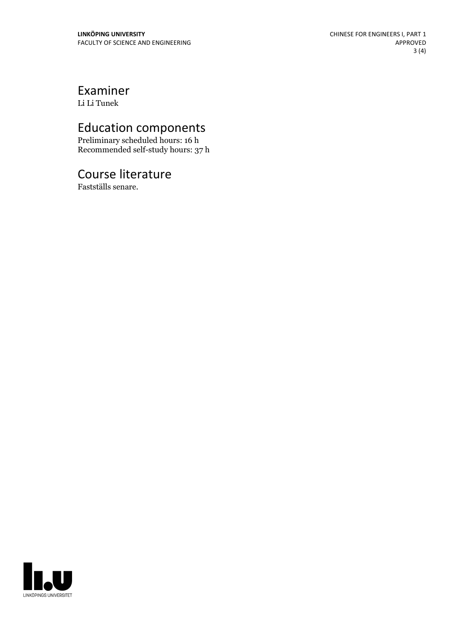# Examiner

Li Li Tunek

# Education components

Preliminary scheduled hours: 16 h Recommended self-study hours: 37 h

## Course literature

Fastställs senare.